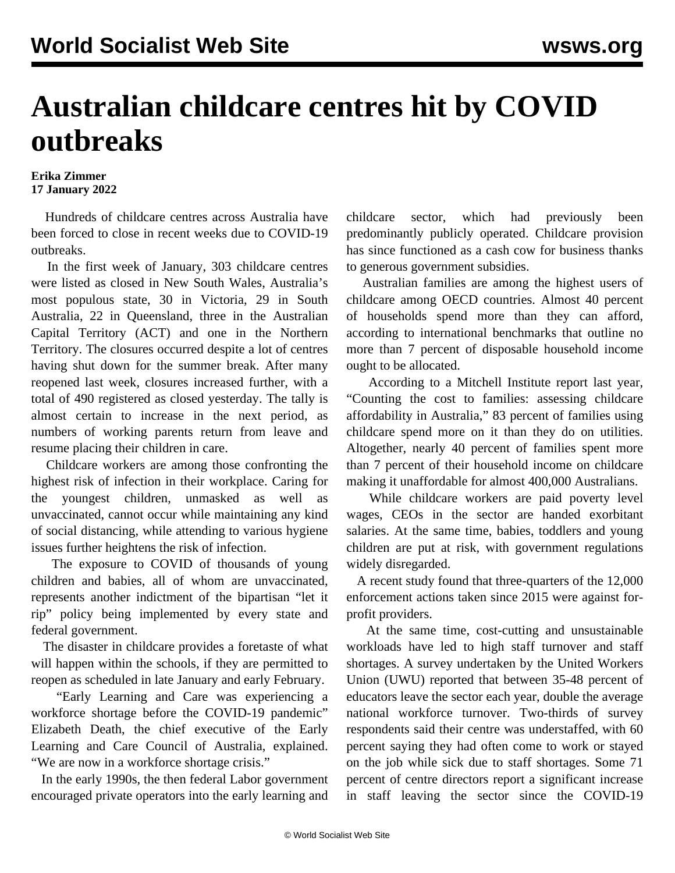## **Australian childcare centres hit by COVID outbreaks**

## **Erika Zimmer 17 January 2022**

 Hundreds of childcare centres across Australia have been forced to close in recent weeks due to COVID-19 outbreaks.

 In the first week of January, 303 childcare centres were listed as closed in New South Wales, Australia's most populous state, 30 in Victoria, 29 in South Australia, 22 in Queensland, three in the Australian Capital Territory (ACT) and one in the Northern Territory. The closures occurred despite a lot of centres having shut down for the summer break. After many reopened last week, closures increased further, with a total of 490 registered as closed yesterday. The tally is almost certain to increase in the next period, as numbers of working parents return from leave and resume placing their children in care.

 Childcare workers are among those confronting the highest risk of infection in their workplace. Caring for the youngest children, unmasked as well as unvaccinated, cannot occur while maintaining any kind of social distancing, while attending to various hygiene issues further heightens the risk of infection.

 The exposure to COVID of thousands of young children and babies, all of whom are unvaccinated, represents another indictment of the bipartisan "let it rip" policy being implemented by every state and federal government.

 The disaster in childcare provides a foretaste of what will happen within the schools, if they are permitted to reopen as scheduled in late January and early February.

 "Early Learning and Care was experiencing a workforce shortage before the COVID-19 pandemic" Elizabeth Death, the chief executive of the Early Learning and Care Council of Australia, explained. "We are now in a workforce shortage crisis."

 In the early 1990s, the then federal Labor government encouraged private operators into the early learning and childcare sector, which had previously been predominantly publicly operated. Childcare provision has since functioned as a cash cow for business thanks to generous government subsidies.

 Australian families are among the highest users of childcare among OECD countries. Almost 40 percent of households spend more than they can afford, according to international benchmarks that outline no more than 7 percent of disposable household income ought to be allocated.

 According to a Mitchell Institute report last year, "Counting the cost to families: assessing childcare affordability in Australia," 83 percent of families using childcare spend more on it than they do on utilities. Altogether, nearly 40 percent of families spent more than 7 percent of their household income on childcare making it unaffordable for almost 400,000 Australians.

 While childcare workers are paid poverty level wages, CEOs in the sector are handed exorbitant salaries. At the same time, babies, toddlers and young children are put at risk, with government regulations widely disregarded.

 A recent study found that three-quarters of the 12,000 enforcement actions taken since 2015 were against forprofit providers.

 At the same time, cost-cutting and unsustainable workloads have led to high staff turnover and staff shortages. A survey undertaken by the United Workers Union (UWU) reported that between 35-48 percent of educators leave the sector each year, double the average national workforce turnover. Two-thirds of survey respondents said their centre was understaffed, with 60 percent saying they had often come to work or stayed on the job while sick due to staff shortages. Some 71 percent of centre directors report a significant increase in staff leaving the sector since the COVID-19